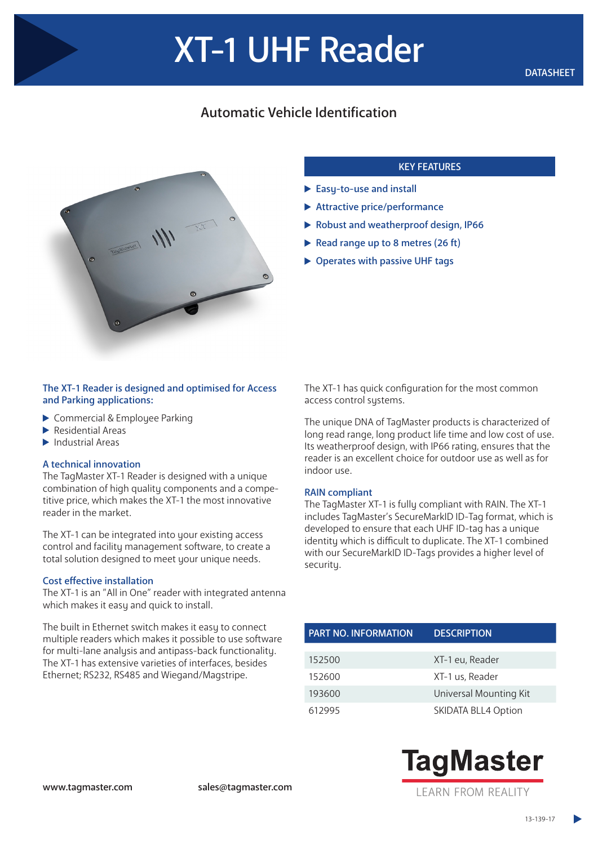# Automatic Vehicle Identification



## KEY FEATURES

- Easy-to-use and install
- Attractive price/performance
- Robust and weatherproof design, IP66
- Read range up to 8 metres  $(26 ft)$
- ▶ Operates with passive UHF tags

#### The XT-1 Reader is designed and optimised for Access and Parking applications:

- ▶ Commercial & Employee Parking
- $\blacktriangleright$  Residential Areas
- $\blacktriangleright$  Industrial Areas

#### A technical innovation

The TagMaster XT-1 Reader is designed with a unique combination of high quality components and a competitive price, which makes the XT-1 the most innovative reader in the market.

The XT-1 can be integrated into your existing access control and facility management software, to create a total solution designed to meet your unique needs.

#### Cost effective installation

The XT-1 is an "All in One" reader with integrated antenna which makes it easy and quick to install.

The built in Ethernet switch makes it easy to connect multiple readers which makes it possible to use software for multi-lane analysis and antipass-back functionality. The XT-1 has extensive varieties of interfaces, besides Ethernet; RS232, RS485 and Wiegand/Magstripe.

The XT-1 has quick configuration for the most common access control systems.

The unique DNA of TagMaster products is characterized of long read range, long product life time and low cost of use. Its weatherproof design, with IP66 rating, ensures that the reader is an excellent choice for outdoor use as well as for indoor use.

#### RAIN compliant

The TagMaster XT-1 is fully compliant with RAIN. The XT-1 includes TagMaster's SecureMarkID ID-Tag format, which is developed to ensure that each UHF ID-tag has a unique identity which is difficult to duplicate. The XT-1 combined with our SecureMarkID ID-Tags provides a higher level of security.

| <b>PART NO. INFORMATION</b> | <b>DESCRIPTION</b>         |  |
|-----------------------------|----------------------------|--|
|                             |                            |  |
| 152500                      | XT-1 eu, Reader            |  |
| 152600                      | XT-1 us, Reader            |  |
| 193600                      | Universal Mounting Kit     |  |
| 612995                      | <b>SKIDATA BLL4 Option</b> |  |